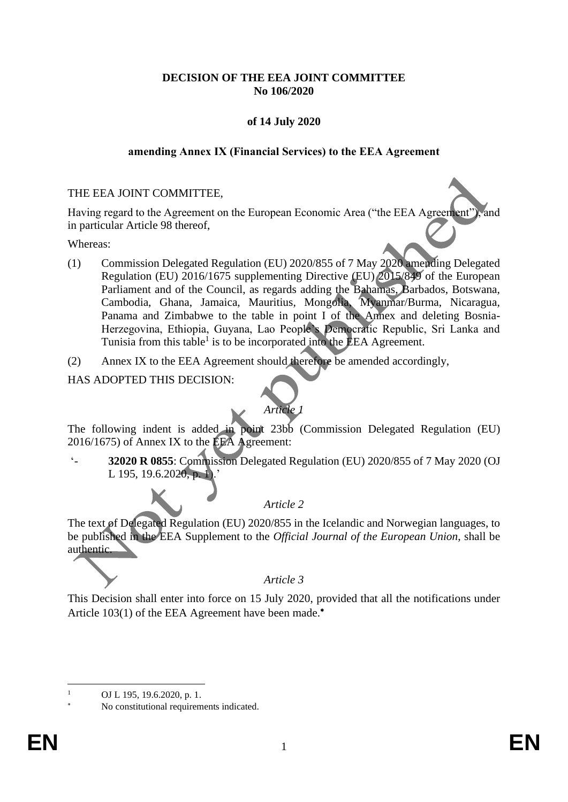## **DECISION OF THE EEA JOINT COMMITTEE No 106/2020**

# **of 14 July 2020**

#### **amending Annex IX (Financial Services) to the EEA Agreement**

#### THE EEA JOINT COMMITTEE,

Having regard to the Agreement on the European Economic Area ("the EEA Agreement"), and in particular Article 98 thereof,

Whereas:

- (1) Commission Delegated Regulation (EU) 2020/855 of 7 May 2020 amending Delegated Regulation (EU) 2016/1675 supplementing Directive (EU) 2015/849 of the European Parliament and of the Council, as regards adding the Bahamas, Barbados, Botswana, Cambodia, Ghana, Jamaica, Mauritius, Mongolia, Myanmar/Burma, Nicaragua, Panama and Zimbabwe to the table in point I of the Annex and deleting Bosnia-Herzegovina, Ethiopia, Guyana, Lao People's Democratic Republic, Sri Lanka and Tunisia from this table<sup>1</sup> is to be incorporated into the EEA Agreement.
- (2) Annex IX to the EEA Agreement should therefore be amended accordingly,

HAS ADOPTED THIS DECISION:



The following indent is added in point 23bb (Commission Delegated Regulation (EU) 2016/1675) of Annex IX to the EEA Agreement:

'- **32020 R 0855**: Commission Delegated Regulation (EU) 2020/855 of 7 May 2020 (OJ L 195, 19.6.2020, p. 1.

*Article 2*

The text of Delegated Regulation (EU) 2020/855 in the Icelandic and Norwegian languages, to be published in the EEA Supplement to the *Official Journal of the European Union*, shall be authentic.

*Article 3*

This Decision shall enter into force on 15 July 2020, provided that all the notifications under Article 103(1) of the EEA Agreement have been made.<sup>\*</sup>

OJ L 195, 19.6.2020, p. 1.

No constitutional requirements indicated.